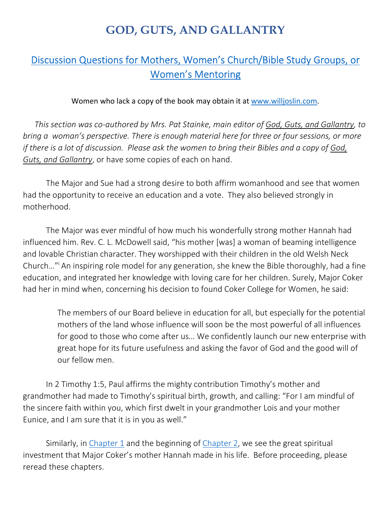## **GOD, GUTS, AND GALLANTRY**

## Discussion Questions for Mothers, Women's Church/Bible Study Groups, or Women's Mentoring

Women who lack a copy of the book may obtain it at www.willjoslin.com.

*This section was co-authored by Mrs. Pat Stainke, main editor of God, Guts, and Gallantry, to bring a woman's perspective. There is enough material here for three or four sessions, or more if there is a lot of discussion. Please ask the women to bring their Bibles and a copy of God, Guts, and Gallantry*, or have some copies of each on hand.

The Major and Sue had a strong desire to both affirm womanhood and see that women had the opportunity to receive an education and a vote. They also believed strongly in motherhood.

The Major was ever mindful of how much his wonderfully strong mother Hannah had influenced him. Rev. C. L. McDowell said, "his mother [was] a woman of beaming intelligence and lovable Christian character. They worshipped with their children in the old Welsh Neck Church…"<sup>i</sup> An inspiring role model for any generation, she knew the Bible thoroughly, had a fine education, and integrated her knowledge with loving care for her children. Surely, Major Coker had her in mind when, concerning his decision to found Coker College for Women, he said:

The members of our Board believe in education for all, but especially for the potential mothers of the land whose influence will soon be the most powerful of all influences for good to those who come after us… We confidently launch our new enterprise with great hope for its future usefulness and asking the favor of God and the good will of our fellow men.

In 2 Timothy 1:5, Paul affirms the mighty contribution Timothy's mother and grandmother had made to Timothy's spiritual birth, growth, and calling: "For I am mindful of the sincere faith within you, which first dwelt in your grandmother Lois and your mother Eunice, and I am sure that it is in you as well."

Similarly, in Chapter 1 and the beginning of Chapter 2, we see the great spiritual investment that Major Coker's mother Hannah made in his life. Before proceeding, please reread these chapters.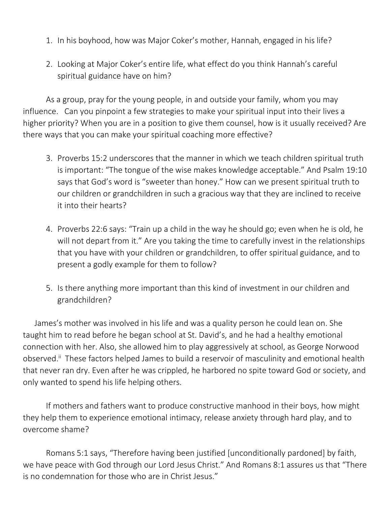- 1. In his boyhood, how was Major Coker's mother, Hannah, engaged in his life?
- 2. Looking at Major Coker's entire life, what effect do you think Hannah's careful spiritual guidance have on him?

As a group, pray for the young people, in and outside your family, whom you may influence. Can you pinpoint a few strategies to make your spiritual input into their lives a higher priority? When you are in a position to give them counsel, how is it usually received? Are there ways that you can make your spiritual coaching more effective?

- 3. Proverbs 15:2 underscores that the manner in which we teach children spiritual truth is important: "The tongue of the wise makes knowledge acceptable." And Psalm 19:10 says that God's word is "sweeter than honey." How can we present spiritual truth to our children or grandchildren in such a gracious way that they are inclined to receive it into their hearts?
- 4. Proverbs 22:6 says: "Train up a child in the way he should go; even when he is old, he will not depart from it." Are you taking the time to carefully invest in the relationships that you have with your children or grandchildren, to offer spiritual guidance, and to present a godly example for them to follow?
- 5. Is there anything more important than this kind of investment in our children and grandchildren?

James's mother was involved in his life and was a quality person he could lean on. She taught him to read before he began school at St. David's, and he had a healthy emotional connection with her. Also, she allowed him to play aggressively at school, as George Norwood observed.<sup>ii</sup> These factors helped James to build a reservoir of masculinity and emotional health that never ran dry. Even after he was crippled, he harbored no spite toward God or society, and only wanted to spend his life helping others.

If mothers and fathers want to produce constructive manhood in their boys, how might they help them to experience emotional intimacy, release anxiety through hard play, and to overcome shame?

Romans 5:1 says, "Therefore having been justified [unconditionally pardoned] by faith, we have peace with God through our Lord Jesus Christ." And Romans 8:1 assures us that "There is no condemnation for those who are in Christ Jesus."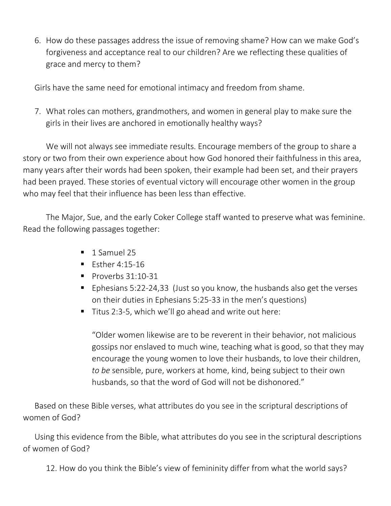6. How do these passages address the issue of removing shame? How can we make God's forgiveness and acceptance real to our children? Are we reflecting these qualities of grace and mercy to them?

Girls have the same need for emotional intimacy and freedom from shame.

7. What roles can mothers, grandmothers, and women in general play to make sure the girls in their lives are anchored in emotionally healthy ways?

We will not always see immediate results. Encourage members of the group to share a story or two from their own experience about how God honored their faithfulness in this area, many years after their words had been spoken, their example had been set, and their prayers had been prayed. These stories of eventual victory will encourage other women in the group who may feel that their influence has been less than effective.

The Major, Sue, and the early Coker College staff wanted to preserve what was feminine. Read the following passages together:

- $\blacksquare$  1 Samuel 25
- $\blacksquare$  Fsther 4:15-16
- $\blacksquare$  Proverbs 31:10-31
- Ephesians 5:22-24,33 (Just so you know, the husbands also get the verses on their duties in Ephesians 5:25-33 in the men's questions)
- Titus 2:3-5, which we'll go ahead and write out here:

"Older women likewise are to be reverent in their behavior, not malicious gossips nor enslaved to much wine, teaching what is good, so that they may encourage the young women to love their husbands, to love their children, *to be* sensible, pure, workers at home, kind, being subject to their own husbands, so that the word of God will not be dishonored."

Based on these Bible verses, what attributes do you see in the scriptural descriptions of women of God?

Using this evidence from the Bible, what attributes do you see in the scriptural descriptions of women of God?

12. How do you think the Bible's view of femininity differ from what the world says?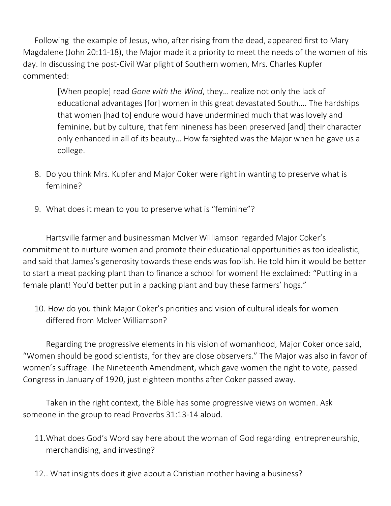Following the example of Jesus, who, after rising from the dead, appeared first to Mary Magdalene (John 20:11-18), the Major made it a priority to meet the needs of the women of his day. In discussing the post-Civil War plight of Southern women, Mrs. Charles Kupfer commented:

[When people] read *Gone with the Wind*, they… realize not only the lack of educational advantages [for] women in this great devastated South…. The hardships that women [had to] endure would have undermined much that was lovely and feminine, but by culture, that feminineness has been preserved [and] their character only enhanced in all of its beauty… How farsighted was the Major when he gave us a college.

- 8. Do you think Mrs. Kupfer and Major Coker were right in wanting to preserve what is feminine?
- 9. What does it mean to you to preserve what is "feminine"?

Hartsville farmer and businessman McIver Williamson regarded Major Coker's commitment to nurture women and promote their educational opportunities as too idealistic, and said that James's generosity towards these ends was foolish. He told him it would be better to start a meat packing plant than to finance a school for women! He exclaimed: "Putting in a female plant! You'd better put in a packing plant and buy these farmers' hogs."

10. How do you think Major Coker's priorities and vision of cultural ideals for women differed from McIver Williamson?

Regarding the progressive elements in his vision of womanhood, Major Coker once said, "Women should be good scientists, for they are close observers." The Major was also in favor of women's suffrage. The Nineteenth Amendment, which gave women the right to vote, passed Congress in January of 1920, just eighteen months after Coker passed away.

Taken in the right context, the Bible has some progressive views on women. Ask someone in the group to read Proverbs 31:13-14 aloud.

- 11.What does God's Word say here about the woman of God regarding entrepreneurship, merchandising, and investing?
- 12.. What insights does it give about a Christian mother having a business?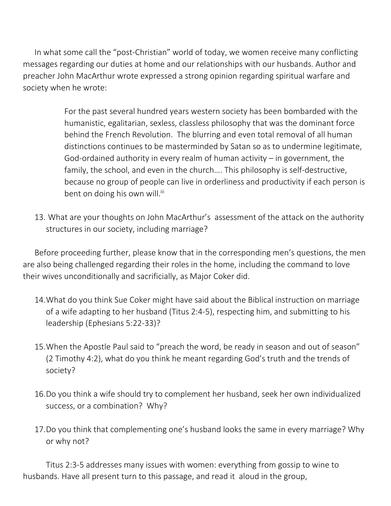In what some call the "post-Christian" world of today, we women receive many conflicting messages regarding our duties at home and our relationships with our husbands. Author and preacher John MacArthur wrote expressed a strong opinion regarding spiritual warfare and society when he wrote:

> For the past several hundred years western society has been bombarded with the humanistic, egalitarian, sexless, classless philosophy that was the dominant force behind the French Revolution. The blurring and even total removal of all human distinctions continues to be masterminded by Satan so as to undermine legitimate, God-ordained authority in every realm of human activity – in government, the family, the school, and even in the church…. This philosophy is self-destructive, because no group of people can live in orderliness and productivity if each person is bent on doing his own will.<sup>iii</sup>

13. What are your thoughts on John MacArthur's assessment of the attack on the authority structures in our society, including marriage?

Before proceeding further, please know that in the corresponding men's questions, the men are also being challenged regarding their roles in the home, including the command to love their wives unconditionally and sacrificially, as Major Coker did.

- 14.What do you think Sue Coker might have said about the Biblical instruction on marriage of a wife adapting to her husband (Titus 2:4-5), respecting him, and submitting to his leadership (Ephesians 5:22-33)?
- 15.When the Apostle Paul said to "preach the word, be ready in season and out of season" (2 Timothy 4:2), what do you think he meant regarding God's truth and the trends of society?
- 16.Do you think a wife should try to complement her husband, seek her own individualized success, or a combination? Why?
- 17.Do you think that complementing one's husband looks the same in every marriage? Why or why not?

Titus 2:3-5 addresses many issues with women: everything from gossip to wine to husbands. Have all present turn to this passage, and read it aloud in the group,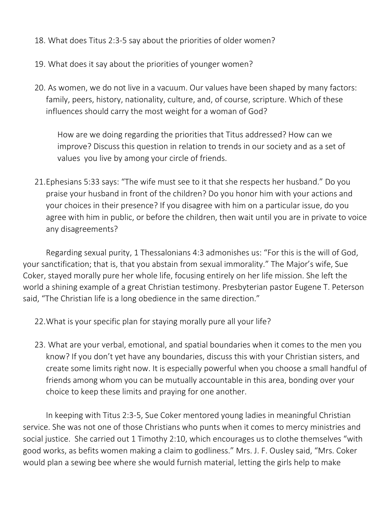- 18. What does Titus 2:3-5 say about the priorities of older women?
- 19. What does it say about the priorities of younger women?
- 20. As women, we do not live in a vacuum. Our values have been shaped by many factors: family, peers, history, nationality, culture, and, of course, scripture. Which of these influences should carry the most weight for a woman of God?

How are we doing regarding the priorities that Titus addressed? How can we improve? Discuss this question in relation to trends in our society and as a set of values you live by among your circle of friends.

21.Ephesians 5:33 says: "The wife must see to it that she respects her husband." Do you praise your husband in front of the children? Do you honor him with your actions and your choices in their presence? If you disagree with him on a particular issue, do you agree with him in public, or before the children, then wait until you are in private to voice any disagreements?

Regarding sexual purity, 1 Thessalonians 4:3 admonishes us: "For this is the will of God, your sanctification; that is, that you abstain from sexual immorality." The Major's wife, Sue Coker, stayed morally pure her whole life, focusing entirely on her life mission. She left the world a shining example of a great Christian testimony. Presbyterian pastor Eugene T. Peterson said, "The Christian life is a long obedience in the same direction."

- 22.What is your specific plan for staying morally pure all your life?
- 23. What are your verbal, emotional, and spatial boundaries when it comes to the men you know? If you don't yet have any boundaries, discuss this with your Christian sisters, and create some limits right now. It is especially powerful when you choose a small handful of friends among whom you can be mutually accountable in this area, bonding over your choice to keep these limits and praying for one another.

In keeping with Titus 2:3-5, Sue Coker mentored young ladies in meaningful Christian service. She was not one of those Christians who punts when it comes to mercy ministries and social justice. She carried out 1 Timothy 2:10, which encourages us to clothe themselves "with good works, as befits women making a claim to godliness." Mrs. J. F. Ousley said, "Mrs. Coker would plan a sewing bee where she would furnish material, letting the girls help to make